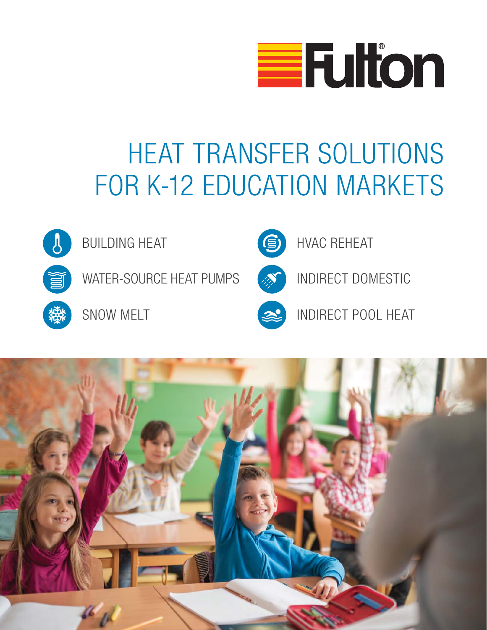

## HEAT TRANSFER SOLUTIONS FOR K-12 EDUCATION MARKETS



BUILDING HEAT

WATER-SOURCE HEAT PUMPS

SNOW MELT



HVAC REHEAT

INDIRECT DOMESTIC



INDIRECT POOL HEAT

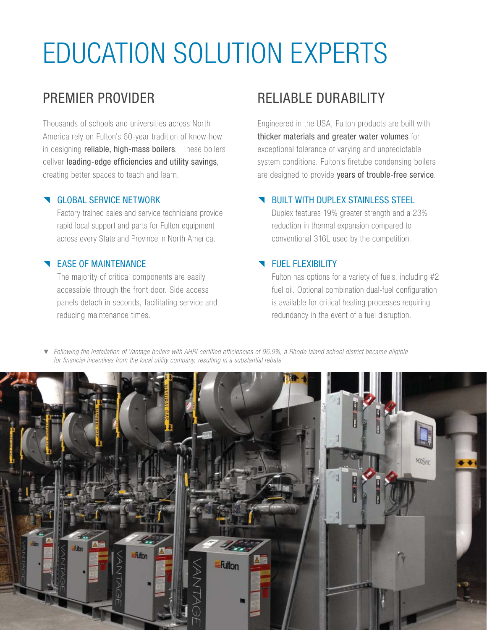# EDUCATION SOLUTION EXPERTS

## PREMIER PROVIDER

Thousands of schools and universities across North America rely on Fulton's 60-year tradition of know-how in designing **reliable, high-mass boilers**. These boilers deliver leading-edge efficiencies and utility savings, creating better spaces to teach and learn.

#### **GLOBAL SERVICE NETWORK**

Factory trained sales and service technicians provide rapid local support and parts for Fulton equipment across every State and Province in North America.

### **EASE OF MAINTENANCE**

The majority of critical components are easily accessible through the front door. Side access panels detach in seconds, facilitating service and reducing maintenance times.

## RELIABLE DURABILITY

Engineered in the USA, Fulton products are built with thicker materials and greater water volumes for exceptional tolerance of varying and unpredictable system conditions. Fulton's firetube condensing boilers are designed to provide years of trouble-free service.

### BUILT WITH DUPLEX STAINLESS STEEL

Duplex features 19% greater strength and a 23% reduction in thermal expansion compared to conventional 316L used by the competition.

### **FUEL FLEXIBILITY**

Fulton has options for a variety of fuels, including #2 fuel oil. Optional combination dual-fuel configuration is available for critical heating processes requiring redundancy in the event of a fuel disruption.

Following the installation of Vantage boilers with AHRI certified efficiencies of 96.9%, a Rhode Island school district became eligible for financial incentives from the local utility company, resulting in a substantial rebate.

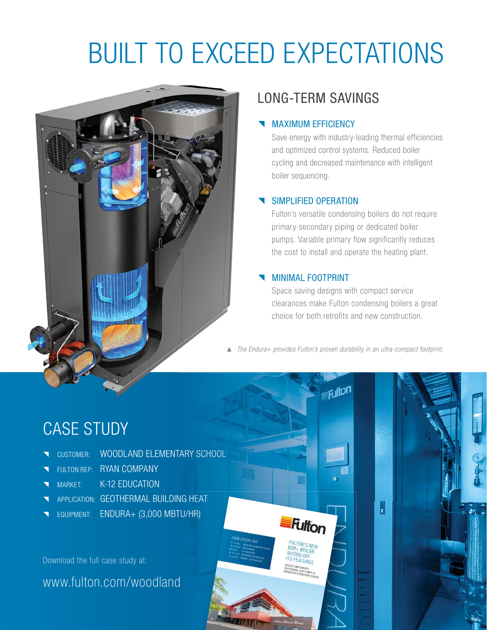## BUILT TO EXCEED EXPECTATIONS



## LONG-TERM SAVINGS

#### MAXIMUM EFFICIENCY

Save energy with industry-leading thermal efficiencies and optimized control systems. Reduced boiler cycling and decreased maintenance with intelligent boiler sequencing.

#### SIMPLIFIED OPERATION

Fulton's versatile condensing boilers do not require primary-secondary piping or dedicated boiler pumps. Variable primary flow significantly reduces the cost to install and operate the heating plant.

#### MINIMAL FOOTPRINT

**Fulton** 

Space saving designs with compact service clearances make Fulton condensing boilers a great choice for both retrofits and new construction.

▲ The Endura+ provides Fulton's proven durability in an ultra-compact footprint.

<sub>i lit</sub>on

## CASE STUDY

- CUSTOMER: WOODLAND ELEMENTARY SCHOOL
- **T** FULTON REP: RYAN COMPANY
- MARKET: K-12 EDUCATION
- NOODLAND ELEMENTARY SCH<br>
THE FULTON REP: NYAN COMPANY<br>
THEATERMAL BUILDING HEAT<br>
THEATERMAL BUILDING HEAT ing heat<br>tu/hr)<br>d
- **T** EQUIPMENT: ENDURA+ (3,000 MBTU/HR)

Download the full case study at:

www.fulton.com/woodland